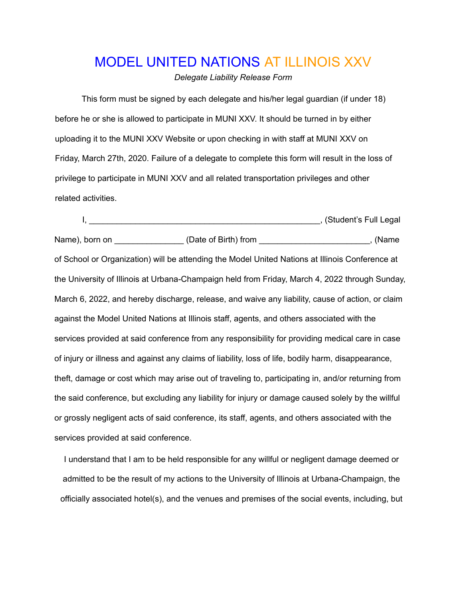## MODEL UNITED NATIONS AT ILLINOIS XXV

*Delegate Liability Release Form*

This form must be signed by each delegate and his/her legal guardian (if under 18) before he or she is allowed to participate in MUNI XXV. It should be turned in by either uploading it to the MUNI XXV Website or upon checking in with staff at MUNI XXV on Friday, March 27th, 2020. Failure of a delegate to complete this form will result in the loss of privilege to participate in MUNI XXV and all related transportation privileges and other related activities.

I, \_\_\_\_\_\_\_\_\_\_\_\_\_\_\_\_\_\_\_\_\_\_\_\_\_\_\_\_\_\_\_\_\_\_\_\_\_\_\_\_\_\_\_\_\_\_\_\_\_\_, (Student's Full Legal Name), born on \_\_\_\_\_\_\_\_\_\_\_\_\_\_\_\_\_\_(Date of Birth) from \_\_\_\_\_\_\_\_\_\_\_\_\_\_\_\_\_\_\_\_\_\_\_\_\_\_, (Name of School or Organization) will be attending the Model United Nations at Illinois Conference at the University of Illinois at Urbana-Champaign held from Friday, March 4, 2022 through Sunday, March 6, 2022, and hereby discharge, release, and waive any liability, cause of action, or claim against the Model United Nations at Illinois staff, agents, and others associated with the services provided at said conference from any responsibility for providing medical care in case of injury or illness and against any claims of liability, loss of life, bodily harm, disappearance, theft, damage or cost which may arise out of traveling to, participating in, and/or returning from the said conference, but excluding any liability for injury or damage caused solely by the willful or grossly negligent acts of said conference, its staff, agents, and others associated with the services provided at said conference.

I understand that I am to be held responsible for any willful or negligent damage deemed or admitted to be the result of my actions to the University of Illinois at Urbana-Champaign, the officially associated hotel(s), and the venues and premises of the social events, including, but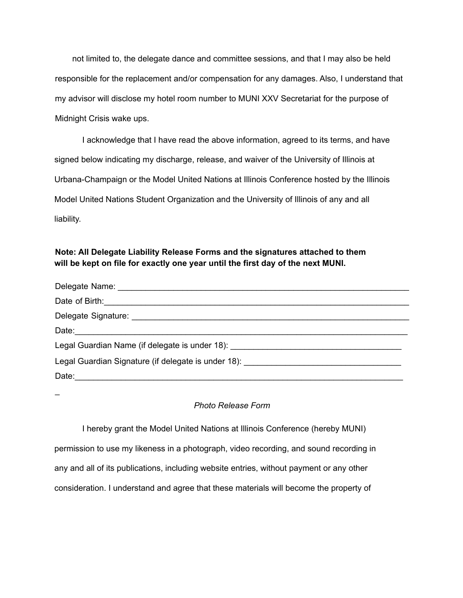not limited to, the delegate dance and committee sessions, and that I may also be held responsible for the replacement and/or compensation for any damages. Also, I understand that my advisor will disclose my hotel room number to MUNI XXV Secretariat for the purpose of Midnight Crisis wake ups.

I acknowledge that I have read the above information, agreed to its terms, and have signed below indicating my discharge, release, and waiver of the University of Illinois at Urbana-Champaign or the Model United Nations at Illinois Conference hosted by the Illinois Model United Nations Student Organization and the University of Illinois of any and all liability.

## **Note: All Delegate Liability Release Forms and the signatures attached to them will be kept on file for exactly one year until the first day of the next MUNI.**

| Date: 2008. 2009. 2009. 2010. 2010. 2010. 2010. 2010. 2010. 2010. 2010. 2010. 2010. 2010. 2010. 2010. 2010. 20                                                                                                                 |
|--------------------------------------------------------------------------------------------------------------------------------------------------------------------------------------------------------------------------------|
| Legal Guardian Name (if delegate is under 18): _________________________________                                                                                                                                               |
| Legal Guardian Signature (if delegate is under 18): [19] Decree Contact Contact Contact Contact Contact Contact Contact Contact Contact Contact Contact Contact Contact Contact Contact Contact Contact Contact Contact Contac |
|                                                                                                                                                                                                                                |

 $\overline{a}$ 

## *Photo Release Form*

I hereby grant the Model United Nations at Illinois Conference (hereby MUNI)

permission to use my likeness in a photograph, video recording, and sound recording in

any and all of its publications, including website entries, without payment or any other

consideration. I understand and agree that these materials will become the property of